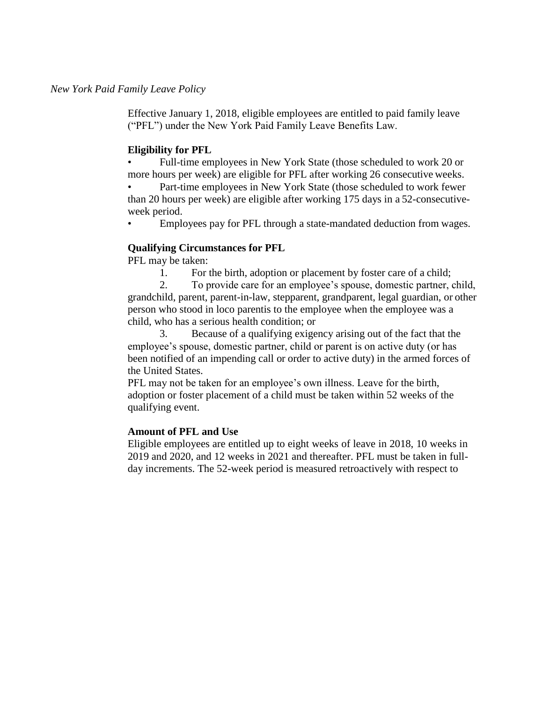Effective January 1, 2018, eligible employees are entitled to paid family leave ("PFL") under the New York Paid Family Leave Benefits Law.

# **Eligibility for PFL**

• Full-time employees in New York State (those scheduled to work 20 or more hours per week) are eligible for PFL after working 26 consecutive weeks. Part-time employees in New York State (those scheduled to work fewer

than 20 hours per week) are eligible after working 175 days in a 52-consecutiveweek period.

• Employees pay for PFL through a state-mandated deduction from wages.

## **Qualifying Circumstances for PFL**

PFL may be taken:

1. For the birth, adoption or placement by foster care of a child;

2. To provide care for an employee's spouse, domestic partner, child, grandchild, parent, parent-in-law, stepparent, grandparent, legal guardian, or other person who stood in loco parentis to the employee when the employee was a child, who has a serious health condition; or

3. Because of a qualifying exigency arising out of the fact that the employee's spouse, domestic partner, child or parent is on active duty (or has been notified of an impending call or order to active duty) in the armed forces of the United States.

PFL may not be taken for an employee's own illness. Leave for the birth, adoption or foster placement of a child must be taken within 52 weeks of the qualifying event.

# **Amount of PFL and Use**

Eligible employees are entitled up to eight weeks of leave in 2018, 10 weeks in 2019 and 2020, and 12 weeks in 2021 and thereafter. PFL must be taken in fullday increments. The 52-week period is measured retroactively with respect to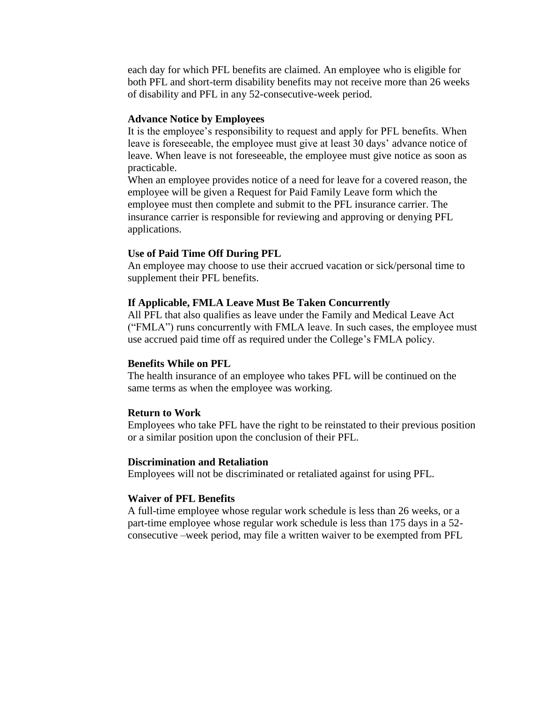each day for which PFL benefits are claimed. An employee who is eligible for both PFL and short-term disability benefits may not receive more than 26 weeks of disability and PFL in any 52-consecutive-week period.

#### **Advance Notice by Employees**

It is the employee's responsibility to request and apply for PFL benefits. When leave is foreseeable, the employee must give at least 30 days' advance notice of leave. When leave is not foreseeable, the employee must give notice as soon as practicable.

When an employee provides notice of a need for leave for a covered reason, the employee will be given a Request for Paid Family Leave form which the employee must then complete and submit to the PFL insurance carrier. The insurance carrier is responsible for reviewing and approving or denying PFL applications.

## **Use of Paid Time Off During PFL**

An employee may choose to use their accrued vacation or sick/personal time to supplement their PFL benefits.

## **If Applicable, FMLA Leave Must Be Taken Concurrently**

All PFL that also qualifies as leave under the Family and Medical Leave Act ("FMLA") runs concurrently with FMLA leave. In such cases, the employee must use accrued paid time off as required under the College's FMLA policy.

### **Benefits While on PFL**

The health insurance of an employee who takes PFL will be continued on the same terms as when the employee was working.

#### **Return to Work**

Employees who take PFL have the right to be reinstated to their previous position or a similar position upon the conclusion of their PFL.

## **Discrimination and Retaliation**

Employees will not be discriminated or retaliated against for using PFL.

### **Waiver of PFL Benefits**

A full-time employee whose regular work schedule is less than 26 weeks, or a part-time employee whose regular work schedule is less than 175 days in a 52 consecutive –week period, may file a written waiver to be exempted from PFL